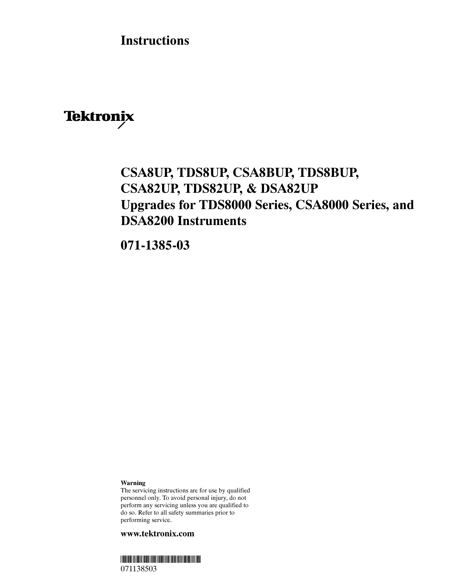Instructions

# Tektronix

### CSA8UP, TDS8UP, CSA8BUP, TDS8BUP, CSA82UP, TDS82UP, & DSA82UP Upgrades for TDS8000 Series, CSA8000 Series, and DSA8200 Instruments

071-1385-03

The servicing instructions are for use by qualified personnel only. To avoid personal injury, do not perform any servicing unless you are qualified to do so. Refer to all safety summaries prior to performing service.

www.tektronix.com

- - 071138503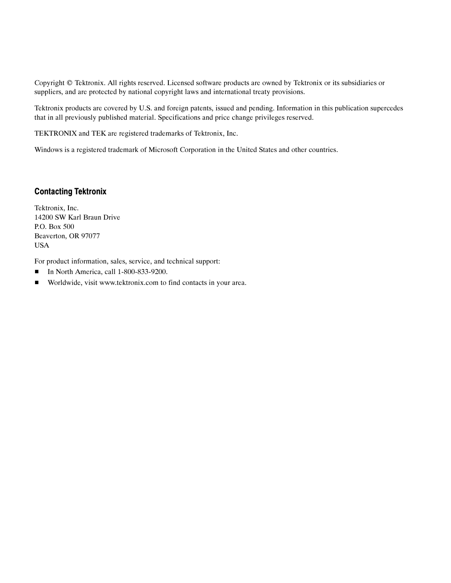Copyright © Tektronix. All rights reserved. Licensed software products are owned by Tektronix or its subsidiaries or suppliers, and are protected by national copyright laws and international treaty provisions.

Tektronix products are covered by U.S. and foreign patents, issued and pending. Information in this publication supercedes that in all previously published material. Specifications and price change privileges reserved.

TEKTRONIX and TEK are registered trademarks of Tektronix, Inc.

Windows is a registered trademark of Microsoft Corporation in the United States and other countries.

#### Contacting Tektronix

Tektronix, Inc. 14200 SW Karl Braun Drive P.O. Box 500 Beaverton, OR 97077 USA

For product information, sales, service, and technical support:

- -In North America, call 1-800-833-9200.
- -Worldwide, visit www.tektronix.com to find contacts in your area.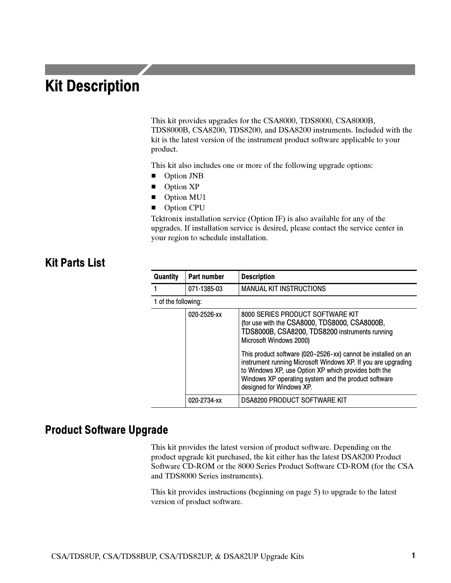### Kit Description

This kit provides upgrades for the CSA8000, TDS8000, CSA8000B, TDS8000B, CSA8200, TDS8200, and DSA8200 instruments. Included with the kit is the latest version of the instrument product software applicable to your product.

This kit also includes one or more of the following upgrade options:

- -Option JNB
- -Option XP
- -Option MU1
- -Option CPU

Tektronix installation service (Option IF) is also available for any of the upgrades. If installation service is desired, please contact the service center in your region to schedule installation.

### Kit Parts List

| Quantity            | Part number | <b>Description</b>                                                                                                                                                                                                                                                                                                                                                                                                                           |  |  |
|---------------------|-------------|----------------------------------------------------------------------------------------------------------------------------------------------------------------------------------------------------------------------------------------------------------------------------------------------------------------------------------------------------------------------------------------------------------------------------------------------|--|--|
|                     | 071-1385-03 | <b>MANUAL KIT INSTRUCTIONS</b>                                                                                                                                                                                                                                                                                                                                                                                                               |  |  |
| 1 of the following: |             |                                                                                                                                                                                                                                                                                                                                                                                                                                              |  |  |
|                     | 020-2526-xx | 8000 SERIES PRODUCT SOFTWARE KIT<br>(for use with the CSA8000, TDS8000, CSA8000B,<br>TDS8000B, CSA8200, TDS8200 instruments running<br>Microsoft Windows 2000)<br>This product software (020-2526-xx) cannot be installed on an<br>instrument running Microsoft Windows XP. If you are upgrading<br>to Windows XP, use Option XP which provides both the<br>Windows XP operating system and the product software<br>designed for Windows XP. |  |  |
|                     | 020-2734-xx | <b>DSA8200 PRODUCT SOFTWARE KIT</b>                                                                                                                                                                                                                                                                                                                                                                                                          |  |  |

### Product Software Upgrade

This kit provides the latest version of product software. Depending on the product upgrade kit purchased, the kit either has the latest DSA8200 Product Software CD-ROM or the 8000 Series Product Software CD-ROM (for the CSA and TDS8000 Series instruments).

This kit provides instructions (beginning on page 5) to upgrade to the latest version of product software.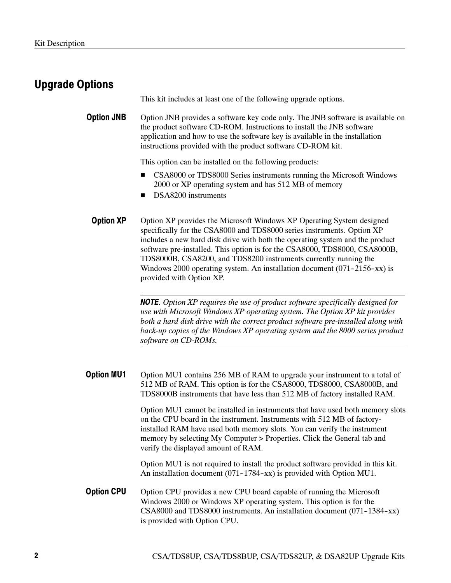### Upgrade Options

This kit includes at least one of the following upgrade options.

Option JNB provides a software key code only. The JNB software is available on the product software CD-ROM. Instructions to install the JNB software application and how to use the software key is available in the installation instructions provided with the product software CD-ROM kit. Option JNB

This option can be installed on the following products:

- - CSA8000 or TDS8000 Series instruments running the Microsoft Windows 2000 or XP operating system and has 512 MB of memory
- -DSA8200 instruments
- Option XP provides the Microsoft Windows XP Operating System designed specifically for the CSA8000 and TDS8000 series instruments. Option XP includes a new hard disk drive with both the operating system and the product software pre-installed. This option is for the CSA8000, TDS8000, CSA8000B, TDS8000B, CSA8200, and TDS8200 instruments currently running the Windows 2000 operating system. An installation document  $(071-2156-xx)$  is provided with Option XP. Option XP

**NOTE.** Option XP requires the use of product software specifically designed for use with Microsoft Windows XP operating system. The Option XP kit provides both a hard disk drive with the correct product software pre-installed along with back-up copies of the Windows XP operating system and the 8000 series product software on CD-ROMs.

Option MU1 contains 256 MB of RAM to upgrade your instrument to a total of 512 MB of RAM. This option is for the CSA8000, TDS8000, CSA8000B, and TDS8000B instruments that have less than 512 MB of factory installed RAM. Option MU1

> Option MU1 cannot be installed in instruments that have used both memory slots on the CPU board in the instrument. Instruments with 512 MB of factoryinstalled RAM have used both memory slots. You can verify the instrument memory by selecting My Computer > Properties. Click the General tab and verify the displayed amount of RAM.

Option MU1 is not required to install the product software provided in this kit. An installation document  $(071-1784-xx)$  is provided with Option MU1.

Option CPU provides a new CPU board capable of running the Microsoft Windows 2000 or Windows XP operating system. This option is for the  $CSA8000$  and TDS8000 instruments. An installation document  $(071-1384-xx)$ is provided with Option CPU. Option CPU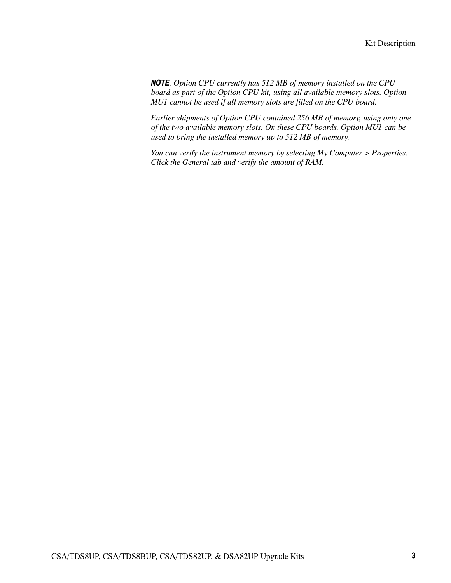NOTE. Option CPU currently has 512 MB of memory installed on the CPU board as part of the Option CPU kit, using all available memory slots. Option MU1 cannot be used if all memory slots are filled on the CPU board.

Earlier shipments of Option CPU contained 256 MB of memory, using only one of the two available memory slots. On these CPU boards, Option MU1 can be used to bring the installed memory up to 512 MB of memory.

You can verify the instrument memory by selecting My Computer > Properties. Click the General tab and verify the amount of RAM.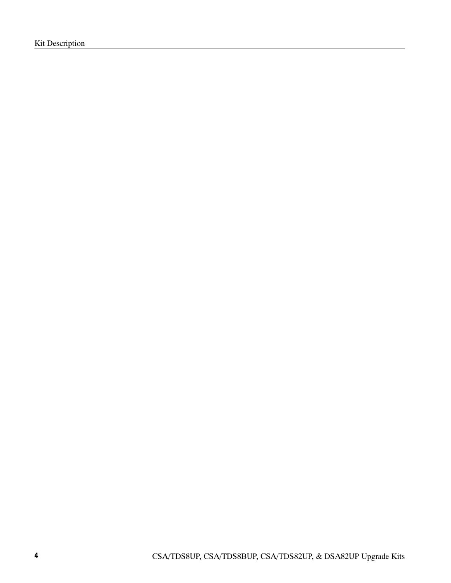Kit Description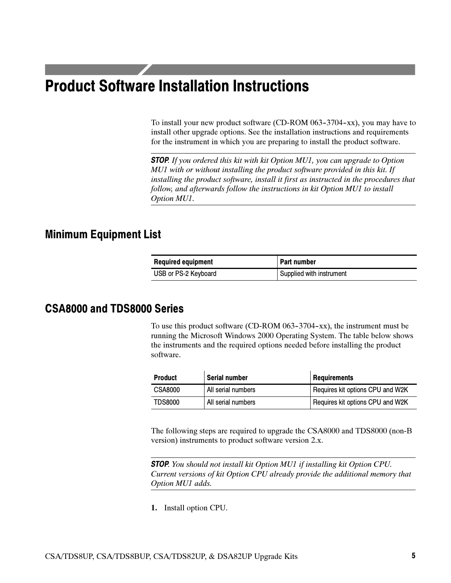## Product Software Installation Instructions

To install your new product software (CD-ROM 063-3704-xx), you may have to install other upgrade options. See the installation instructions and requirements for the instrument in which you are preparing to install the product software.

**STOP.** If you ordered this kit with kit Option MU1, you can upgrade to Option MU1 with or without installing the product software provided in this kit. If installing the product software, install it first as instructed in the procedures that follow, and afterwards follow the instructions in kit Option MU1 to install Option MU1.

### Minimum Equipment List

| <b>Required equipment</b> | l Part number            |
|---------------------------|--------------------------|
| USB or PS-2 Keyboard      | Supplied with instrument |

### CSA8000 and TDS8000 Series

To use this product software (CD-ROM 063-3704-xx), the instrument must be running the Microsoft Windows 2000 Operating System. The table below shows the instruments and the required options needed before installing the product software.

| <b>Product</b> | <b>Serial number</b> | <b>Requirements</b>              |
|----------------|----------------------|----------------------------------|
| CSA8000        | All serial numbers   | Requires kit options CPU and W2K |
| <b>TDS8000</b> | All serial numbers   | Requires kit options CPU and W2K |

The following steps are required to upgrade the CSA8000 and TDS8000 (non-B version) instruments to product software version 2.x.

**STOP.** You should not install kit Option MU1 if installing kit Option CPU. Current versions of kit Option CPU already provide the additional memory that Option MU1 adds.

1. Install option CPU.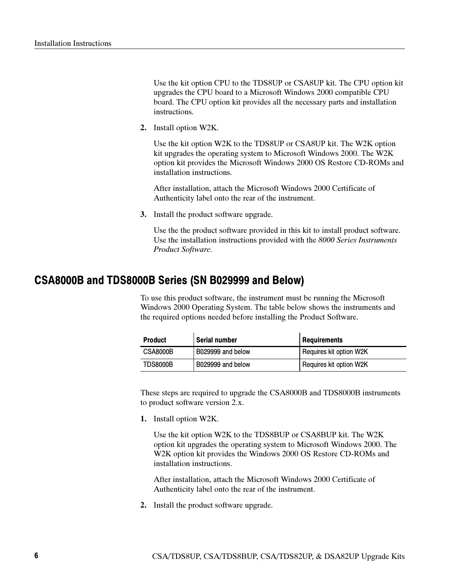Use the kit option CPU to the TDS8UP or CSA8UP kit. The CPU option kit upgrades the CPU board to a Microsoft Windows 2000 compatible CPU board. The CPU option kit provides all the necessary parts and installation instructions.

2. Install option W2K.

Use the kit option W2K to the TDS8UP or CSA8UP kit. The W2K option kit upgrades the operating system to Microsoft Windows 2000. The W2K option kit provides the Microsoft Windows 2000 OS Restore CD-ROMs and installation instructions.

After installation, attach the Microsoft Windows 2000 Certificate of Authenticity label onto the rear of the instrument.

3. Install the product software upgrade.

Use the the product software provided in this kit to install product software. Use the installation instructions provided with the 8000 Series Instruments Product Software.

### CSA8000B and TDS8000B Series (SN B029999 and Below)

To use this product software, the instrument must be running the Microsoft Windows 2000 Operating System. The table below shows the instruments and the required options needed before installing the Product Software.

| <b>Product</b>  | <b>Serial number</b> | Requirements            |
|-----------------|----------------------|-------------------------|
| CSA8000B        | B029999 and below    | Requires kit option W2K |
| <b>TDS8000B</b> | B029999 and below    | Requires kit option W2K |

These steps are required to upgrade the CSA8000B and TDS8000B instruments to product software version 2.x.

1. Install option W2K.

Use the kit option W2K to the TDS8BUP or CSA8BUP kit. The W2K option kit upgrades the operating system to Microsoft Windows 2000. The W2K option kit provides the Windows 2000 OS Restore CD-ROMs and installation instructions.

After installation, attach the Microsoft Windows 2000 Certificate of Authenticity label onto the rear of the instrument.

2. Install the product software upgrade.